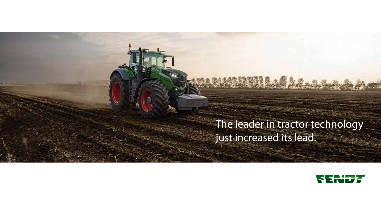# The leader in tractor technology just increased its lead.

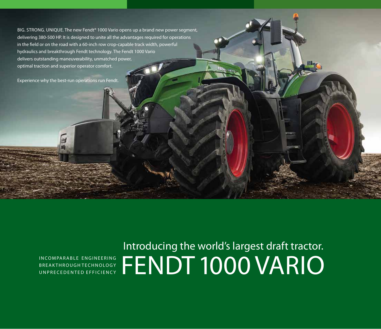BIG. STRONG. UNIQUE. The new Fendt<sup>®</sup> 1000 Vario opens up a brand new power segment, delivering 380-500 HP. It is designed to unite all the advantages required for operations in the field or on the road with a 60-inch row crop-capable track width, powerful hydraulics and breakthrough Fendt technology. The Fendt 1000 Vario delivers outstanding maneuverability, unmatched power, optimal traction and superior operator comfort.

Experience why the best-run operations run Fendt.

B R E A K T H R O U G H T E C H N O L O G Y U N P R E C E D E N T E D E F F I C I E N C Y

INCOMPARABLE ENGINEERING FENDT 1000 VARIO Introducing the world's largest draft tractor.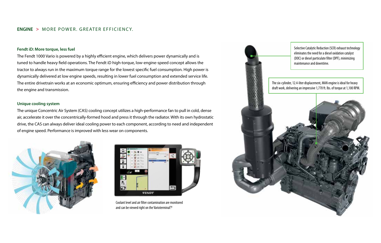#### **ENGINE >** MORE POWER. GREATER EFFICIENC Y.

#### **Fendt iD: More torque, less fuel**

The Fendt 1000 Vario is powered by a highly efficient engine, which delivers power dynamically and is tuned to handle heavy field operations. The Fendt iD high-torque, low-engine-speed concept allows the tractor to always run in the maximum torque range for the lowest specific fuel consumption. High power is dynamically delivered at low engine speeds, resulting in lower fuel consumption and extended service life. The entire drivetrain works at an economic optimum, ensuring efficiency and power distribution through the engine and transmission.

#### **Unique cooling system**

The unique Concentric Air System (CAS) cooling concept utilizes a high-performance fan to pull in cold, dense air, accelerate it over the concentrically-formed hood and press it through the radiator. With its own hydrostatic drive, the CAS can always deliver ideal cooling power to each component, according to need and independent of engine speed. Performance is improved with less wear on components.





Coolant level and air filter contamination are monitored and can be viewed right on the Varioterminal<sup>™</sup> .

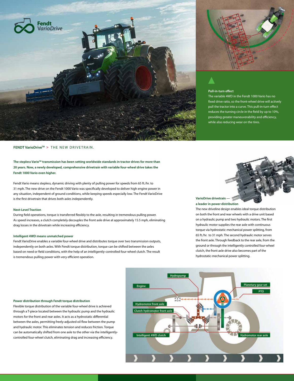

**FENDT VarioDriveTM >** THE NEW DRIVETRAIN.

### The stepless Vario<sup>™</sup> transmission has been setting worldwide standards in tractor drives for more than **20 years. Now, a newly developed, comprehensive drivetrain with variable four-wheel drive takes the Fendt 1000 Vario even higher.**

Fendt Vario means stepless, dynamic driving with plenty of pulling power for speeds from 65 ft./hr. to 31 mph. The new drive on the Fendt 1000 Vario was specifically developed to deliver high engine power in any situation, independent of ground conditions, while keeping speeds especially low. The Fendt VarioDrive is the first drivetrain that drives both axles independently.

#### **Next-Level Traction**

During field operations, torque is transferred flexibly to the axle, resulting in tremendous pulling power. As speed increases, a clutch completely decouples the front axle drive at approximately 15.5 mph, eliminating drag losses in the drivetrain while increasing efficiency.

#### **Intelligent 4WD means unmatched power**

Fendt VarioDrive enables a variable four-wheel drive and distributes torque over two transmission outputs, independently on both axles. With Fendt torque distribution, torque can be shifted between the axles based on need or field conditions, with the help of an intelligently-controlled four-wheel clutch. The result is tremendous pulling power with very efficient operation.



## **Pull-in-turn effect**

The variable 4WD in the Fendt 1000 Vario has no fixed drive ratio, so the front-wheel drive will actively pull the tractor into a curve. This pull-in-turn effect reduces the turning circle in the field by up to 10%, providing greater maneuverability and efficiency, while also reducing wear on the tires.

### **VarioDrive drivetrain a leader in power distribution**

The new driveline design enables ideal torque distribution on both the front and rear wheels with a drive unit based on a hydraulic pump and two hydraulic motors. The first hydraulic motor supplies the rear axle with continuous torque via hydrostatic-mechanical power splitting, from 65 ft./hr. to 31 mph. The second hydraulic motor serves the front axle. Through feedback to the rear axle, from the ground or through the intelligently controlled four-wheel clutch, the front axle drive also becomes part of the hydrostatic-mechanical power splitting.



#### **Power distribution through Fendt torque distribution**

Flexible torque distribution of the variable four-wheel drive is achieved through a T-piece located between the hydraulic pump and the hydraulic motors for the front and rear axles. It acts as a hydrostatic differential between the axles, permitting freely-adjusted oil flow between the pump and hydraulic motor. This eliminates tension and reduces friction. Torque can be automatically shifted from one axle to the other via the intelligentlycontrolled four-wheel clutch, eliminating drag and increasing efficiency.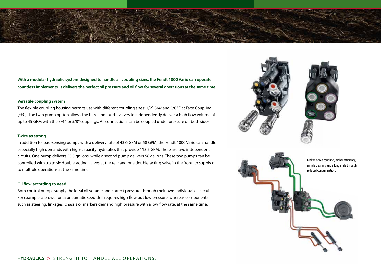

**With a modular hydraulic system designed to handle all coupling sizes, the Fendt 1000 Vario can operate countless implements. It delivers the perfect oil pressure and oil flow for several operations at the same time.**

#### **Versatile coupling system**

The flexible coupling housing permits use with different coupling sizes: 1/2", 3/4" and 5/8" Flat Face Coupling (FFC). The twin pump option allows the third and fourth valves to independently deliver a high flow volume of up to 45 GPM with the 3/4" or 5/8" couplings. All connections can be coupled under pressure on both sides.

#### **Twice as strong**

In addition to load-sensing pumps with a delivery rate of 43.6 GPM or 58 GPM, the Fendt 1000 Vario can handle especially high demands with high-capacity hydraulics that provide 113.5 GPM. There are two independent circuits. One pump delivers 55.5 gallons, while a second pump delivers 58 gallons. These two pumps can be controlled with up to six double-acting valves at the rear and one double-acting valve in the front, to supply oil to multiple operations at the same time.

#### **Oil flow according to need**

Both control pumps supply the ideal oil volume and correct pressure through their own individual oil circuit. For example, a blower on a pneumatic seed drill requires high flow but low pressure, whereas components such as steering, linkages, chassis or markers demand high pressure with a low flow rate, at the same time.



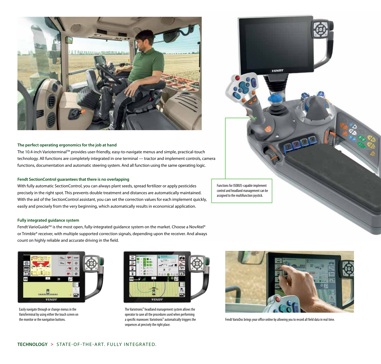

#### **The perfect operating ergonomics for the job at hand**

The 10.4-inch VarioterminalTM provides user-friendly, easy-to-navigate menus and simple, practical-touch technology. All functions are completely integrated in one terminal — tractor and implement controls, camera functions, documentation and automatic steering system. And all function using the same operating logic.

#### **Fendt SectionControl guarantees that there is no overlapping**

With fully automatic SectionControl, you can always plant seeds, spread fertilizer or apply pesticides precisely in the right spot. This prevents double treatment and distances are automatically maintained. With the aid of the SectionControl assistant, you can set the correction values for each implement quickly, easily and precisely from the very beginning, which automatically results in economical application.

**Fully integrated guidance system**

Fendt VarioGuide™ is the most open, fully-integrated guidance system on the market. Choose a NovAtel® or Trimble® receiver, with multiple supported correction signals, depending upon the receiver. And always count on highly reliable and accurate driving in the field.



Easily navigate through or change menus in the VarioTerminal by using either the touch screen on the monitor or the navigation buttons.



The Variotronic<sup>TI</sup> headland management system allows the operator to save all the procedures used when performing a specific maneuver. Variotronic $\mathbb{I}$  automatically triggers the sequences at precisely the right place.



Fendt VarioDoc brings your office online by allowing you to record all field data in real time.

VENDT

Functions for ISOBUS-capable implement control and headland management can be assigned to the multifunction joystick.